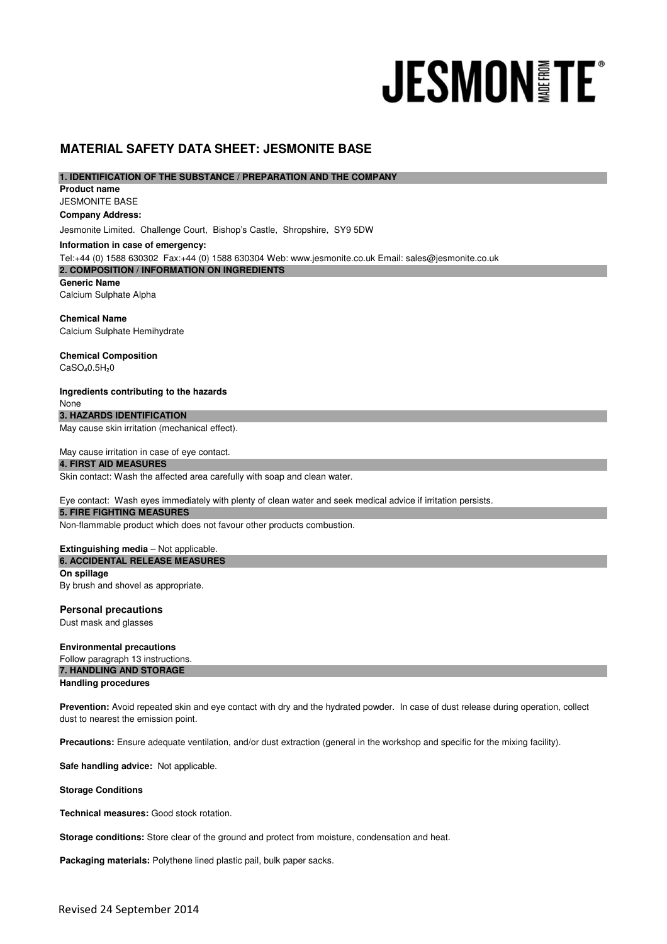# **JESMON FE**

# **MATERIAL SAFETY DATA SHEET: JESMONITE BASE**

**1. IDENTIFICATION OF THE SUBSTANCE / PREPARATION AND THE COMPANY** 

JESMONITE BASE **Product name Company Address:**

Jesmonite Limited. Challenge Court, Bishop's Castle, Shropshire, SY9 5DW

**2. COMPOSITION / INFORMATION ON INGREDIENTS**  Tel:+44 (0) 1588 630302 Fax:+44 (0) 1588 630304 Web: www.jesmonite.co.uk Email: sales@jesmonite.co.uk **Information in case of emergency:**

**Generic Name** Calcium Sulphate Alpha

**Chemical Name** Calcium Sulphate Hemihydrate

**Chemical Composition**  $CaSO<sub>4</sub>0.5H<sub>2</sub>0$ 

**Ingredients contributing to the hazards** None

**3. HAZARDS IDENTIFICATION** 

May cause skin irritation (mechanical effect).

May cause irritation in case of eye contact.

**4. FIRST AID MEASURES** 

Skin contact: Wash the affected area carefully with soap and clean water.

Eye contact: Wash eyes immediately with plenty of clean water and seek medical advice if irritation persists.

# **5. FIRE FIGHTING MEASURES**

Non-flammable product which does not favour other products combustion.

**Extinguishing media** – Not applicable. **On spillage 6. ACCIDENTAL RELEASE MEASURES** 

By brush and shovel as appropriate.

# **Personal precautions**

Dust mask and glasses

**Environmental precautions** Follow paragraph 13 instructions. **7. HANDLING AND STORAGE Handling procedures**

Prevention: Avoid repeated skin and eye contact with dry and the hydrated powder. In case of dust release during operation, collect dust to nearest the emission point.

**Precautions:** Ensure adequate ventilation, and/or dust extraction (general in the workshop and specific for the mixing facility).

**Safe handling advice:** Not applicable.

**Storage Conditions**

**Technical measures:** Good stock rotation.

**Storage conditions:** Store clear of the ground and protect from moisture, condensation and heat.

**Packaging materials:** Polythene lined plastic pail, bulk paper sacks.